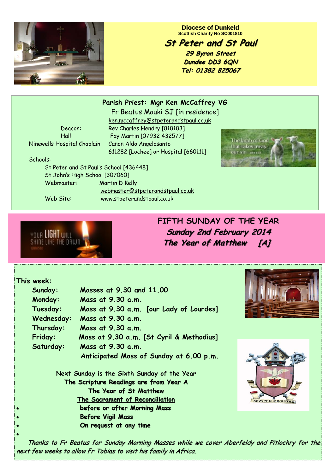**Diocese of Dunkeld Scottish Charity No SC001810** 

## **St Peter and St Paul St Peter and St Paul**

**29 Byron Street 29 Byron Street Dundee DD3 6QN Tel: 01382 825067**

Ninewells Hospital Chaplain: Canon Aldo Angelosanto

Fr Beatus Mauki SJ [in residence] ken.mccaffrey@stpeterandstpaul.co.uk Deacon: Rev Charles Hendry [818183] Hall: Fay Martin [07932 432577] 611282 [Lochee] or Hospital [660111]

**Parish Priest: Mgr Ken McCaffrey VG** 



Schools:

 St Peter and St Paul's School [436448] St John's High School [307060] Webmaster: Martin D Kelly webmaster@stpeterandstpaul.co.uk Web Site: www.stpeterandstpaul.co.uk



**FIFTH SUNDAY OF THE YEAR Sunday 2nd February 2014 Sunday 2nd February 2014 The Year of Matthew [A]** 

## **This week:**

 $\bullet$ 

|           | Sunday:                                                                                                         | Masses at 9.30 and 11.00                 |  |
|-----------|-----------------------------------------------------------------------------------------------------------------|------------------------------------------|--|
|           | Monday:                                                                                                         | Mass at 9.30 a.m.                        |  |
|           | Tuesday:                                                                                                        | Mass at 9.30 a.m. [our Lady of Lourdes]  |  |
|           | Wednesday:                                                                                                      | Mass at 9.30 a.m.                        |  |
|           | Thursday:                                                                                                       | Mass at $9.30$ a.m.                      |  |
|           | Friday:                                                                                                         | Mass at 9.30 a.m. [St Cyril & Methodius] |  |
|           | Saturday:                                                                                                       | Mass at $9.30$ a.m.                      |  |
|           |                                                                                                                 | Anticipated Mass of Sunday at 6.00 p.m.  |  |
|           | Next Sunday is the Sixth Sunday of the Year<br>The Scripture Readings are from Year A<br>The Year of St Matthew |                                          |  |
|           |                                                                                                                 |                                          |  |
|           |                                                                                                                 |                                          |  |
|           |                                                                                                                 | The Sacrament of Reconciliation          |  |
| $\bullet$ | before or after Morning Mass                                                                                    |                                          |  |
| $\bullet$ | <b>Before Vigil Mass</b>                                                                                        |                                          |  |
| $\bullet$ |                                                                                                                 | On request at any time                   |  |





Thanks to Fr Beatus for Sunday Morning Masses while we cover Aberfeldy and Pitlochry for the next few weeks to allow Fr Tobias to visit his family in Africa.

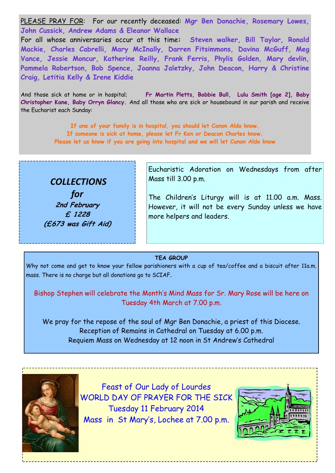PLEASE PRAY FOR: For our recently deceased: **Mgr Ben Donachie, Rosemary Lowes, John Cussick, Andrew Adams & Eleanor Wallace** 

For all whose anniversaries occur at this time**: Steven walker, Bill Taylor, Ronald Mackie, Charles Cabrelli, Mary McInally, Darren Fitsimmons, Davina McGuff, Meg Vance, Jessie Moncur, Katherine Reilly, Frank Ferris, Phylis Golden, Mary devlin, Pammela Robertson, Bob Spence, Joanna Jaletzky, John Deacon, Harry & Christine Craig, Letitia Kelly & Irene Kiddie** 

And those sick at home or in hospital; **Fr Martin Pletts, Bobbie Bull, Lulu Smith [age 2], Baby Christopher Kane, Baby Orryn Glancy.** And all those who are sick or housebound in our parish and receive the Eucharist each Sunday:

> **If one of your family is in hospital, you should let Canon Aldo know. If someone is sick at home, please let Fr Ken or Deacon Charles know. Please let us know if you are going into hospital and we will let Canon Aldo know**



Eucharistic Adoration on Wednesdays from after Mass till 3.00 p.m.

The Children's Liturgy will is at 11.00 a.m. Mass. However, it will not be every Sunday unless we have more helpers and leaders.

**TEA GROUP** 

Why not come and get to know your fellow parishioners with a cup of tea/coffee and a biscuit after 11a.m. mass. There is no charge but all donations go to SCIAF.

Bishop Stephen will celebrate the Month's Mind Mass for Sr. Mary Rose will be here on Tuesday 4th March at 7.00 p.m.

We pray for the repose of the soul of Mgr Ben Donachie, a priest of this Diocese. Reception of Remains in Cathedral on Tuesday at 6.00 p.m. Requiem Mass on Wednesday at 12 noon in St Andrew's Cathedral



Feast of Our Lady of Lourdes WORLD DAY OF PRAYER FOR THE SICK Tuesday 11 February 2014 Mass in St Mary's, Lochee at 7.00 p.m.

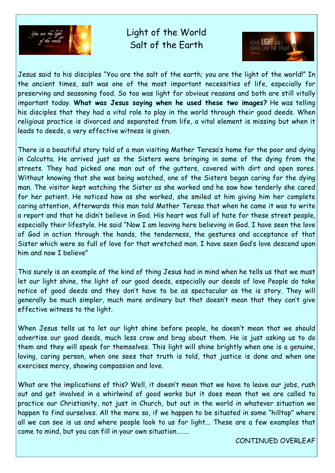

Light of the World Salt of the Earth



Jesus said to his disciples "You are the salt of the earth; you are the light of the world!" In the ancient times, salt was one of the most important necessities of life, especially for preserving and seasoning food. So too was light for obvious reasons and both are still vitally important today. **What was Jesus saying when he used these two images?** He was telling his disciples that they had a vital role to play in the world through their good deeds. When religious practice is divorced and separated from life, a vital element is missing but when it leads to deeds, a very effective witness is given.

There is a beautiful story told of a man visiting Mother Teresa's home for the poor and dying in Calcutta. He arrived just as the Sisters were bringing in some of the dying from the streets. They had picked one man out of the gutters, covered with dirt and open sores. Without knowing that she was being watched, one of the Sisters began caring for the dying man. The visitor kept watching the Sister as she worked and he saw how tenderly she cared for her patient. He noticed how as she worked, she smiled at him giving him her complete caring attention, Afterwards this man told Mother Teresa that when he came it was to write a report and that he didn't believe in God. His heart was full of hate for these street people, especially their lifestyle. He said "Now I am leaving here believing in God. I have seen the love of God in action through the hands, the tenderness, the gestures and acceptance of that Sister which were so full of love for that wretched man. I have seen God's love descend upon him and now I believe"

This surely is an example of the kind of thing Jesus had in mind when he tells us that we must let our light shine, the light of our good deeds, especially our deeds of love People do take notice of good deeds and they don't have to be as spectacular as the is story. They will generally be much simpler, much more ordinary but that doesn't mean that they can't give effective witness to the light.

When Jesus tells us to let our light shine before people, he doesn't mean that we should advertise our good deeds, much less crow and brag about them. He is just asking us to do them and they will speak for themselves. This light will shine brightly when one is a genuine, loving, caring person, when one sees that truth is told, that justice is done and when one exercises mercy, showing compassion and love.

What are the implications of this? Well, it doesn't mean that we have to leave our jobs, rush out and get involved in a whirlwind of good works but it does mean that we are called to practice our Christianity, not just in Church, but out in the world in whatever situation we happen to find ourselves. All the more so, if we happen to be situated in some "hilltop" where all we can see is us and where people look to us for light... These are a few examples that come to mind, but you can fill in your own situation……..

CONTINUED OVERLEAF